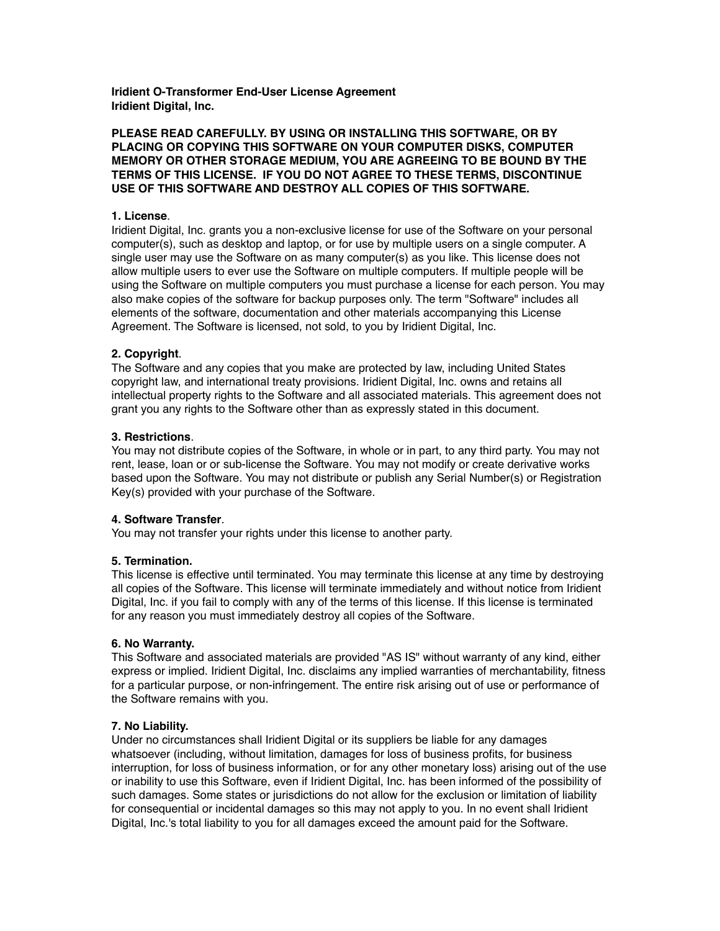**Iridient O-Transformer End-User License Agreement Iridient Digital, Inc.**

## **PLEASE READ CAREFULLY. BY USING OR INSTALLING THIS SOFTWARE, OR BY PLACING OR COPYING THIS SOFTWARE ON YOUR COMPUTER DISKS, COMPUTER MEMORY OR OTHER STORAGE MEDIUM, YOU ARE AGREEING TO BE BOUND BY THE TERMS OF THIS LICENSE. IF YOU DO NOT AGREE TO THESE TERMS, DISCONTINUE USE OF THIS SOFTWARE AND DESTROY ALL COPIES OF THIS SOFTWARE.**

## **1. License**.

Iridient Digital, Inc. grants you a non-exclusive license for use of the Software on your personal computer(s), such as desktop and laptop, or for use by multiple users on a single computer. A single user may use the Software on as many computer(s) as you like. This license does not allow multiple users to ever use the Software on multiple computers. If multiple people will be using the Software on multiple computers you must purchase a license for each person. You may also make copies of the software for backup purposes only. The term "Software" includes all elements of the software, documentation and other materials accompanying this License Agreement. The Software is licensed, not sold, to you by Iridient Digital, Inc.

## **2. Copyright**.

The Software and any copies that you make are protected by law, including United States copyright law, and international treaty provisions. Iridient Digital, Inc. owns and retains all intellectual property rights to the Software and all associated materials. This agreement does not grant you any rights to the Software other than as expressly stated in this document.

## **3. Restrictions**.

You may not distribute copies of the Software, in whole or in part, to any third party. You may not rent, lease, loan or or sub-license the Software. You may not modify or create derivative works based upon the Software. You may not distribute or publish any Serial Number(s) or Registration Key(s) provided with your purchase of the Software.

# **4. Software Transfer**.

You may not transfer your rights under this license to another party.

# **5. Termination.**

This license is effective until terminated. You may terminate this license at any time by destroying all copies of the Software. This license will terminate immediately and without notice from Iridient Digital, Inc. if you fail to comply with any of the terms of this license. If this license is terminated for any reason you must immediately destroy all copies of the Software.

#### **6. No Warranty.**

This Software and associated materials are provided "AS IS" without warranty of any kind, either express or implied. Iridient Digital, Inc. disclaims any implied warranties of merchantability, fitness for a particular purpose, or non-infringement. The entire risk arising out of use or performance of the Software remains with you.

# **7. No Liability.**

Under no circumstances shall Iridient Digital or its suppliers be liable for any damages whatsoever (including, without limitation, damages for loss of business profits, for business interruption, for loss of business information, or for any other monetary loss) arising out of the use or inability to use this Software, even if Iridient Digital, Inc. has been informed of the possibility of such damages. Some states or jurisdictions do not allow for the exclusion or limitation of liability for consequential or incidental damages so this may not apply to you. In no event shall Iridient Digital, Inc.'s total liability to you for all damages exceed the amount paid for the Software.